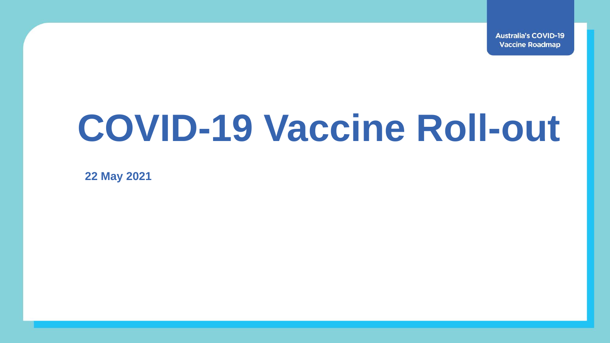**Australia's COVID-19 Vaccine Roadmap** 

## **COVID-19 Vaccine Roll-out**

**22 May 2021**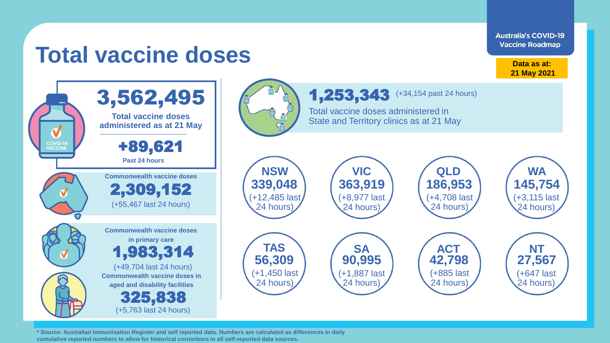**Australia's COVID-19 Vaccine Roadmap** 

## **Total vaccine doses**

**Data as at: 21 May 2021**



**\* Source: Australian Immunisation Register and self reported data. Numbers are calculated as differences in daily cumulative reported numbers to allow for historical corrections in all self-reported data sources.**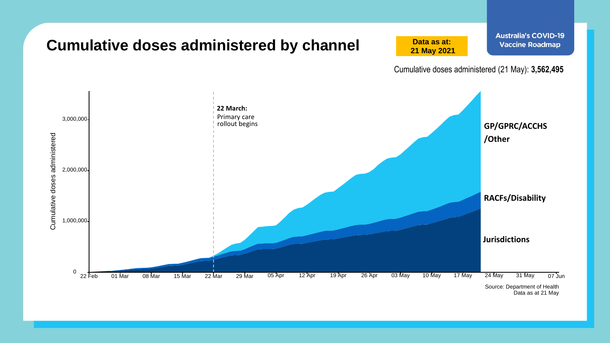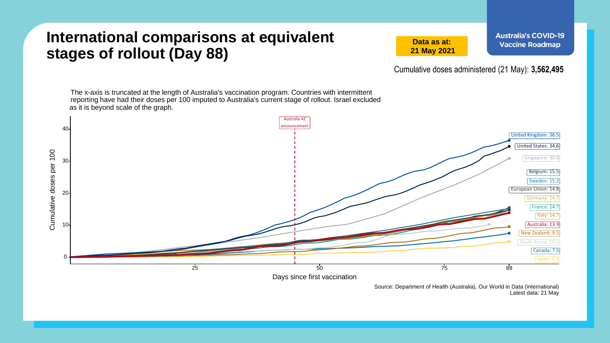## **International comparisons at equivalent stages of rollout (Day 88)**

**Data as at: 21 May 2021** **Australia's COVID-19 Vaccine Roadmap** 

Cumulative doses administered (21 May): **3,562,495**

The x-axis is truncated at the length of Australia's vaccination program. Countries with intermittent reporting have had their doses per 100 imputed to Australia's current stage of rollout. Israel excluded as it is beyond scale of the graph.



Source: Department of Health (Australia), Our World in Data (international) Latest data: 21 May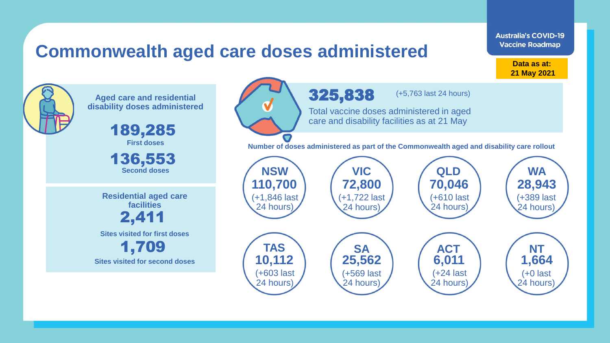## **Commonwealth aged care doses administered**

**Data as at: Data as at: 18 Apr 2021 21 May 2021**